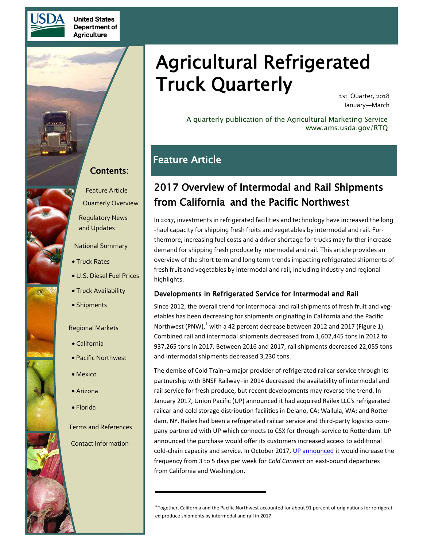

**United States** Department of **Agriculture** 

# Agricultural Refrigerated Truck Quarterly

1st Quarter, 2018 January—March

A quarterly publication of the Agricultural Marketing Service www.ams.usda.gov/RTQ

### Feature Article

## 2017 Overview of Intermodal and Rail Shipments from California and the Pacific Northwest

In 2017, investments in refrigerated facilities and technology have increased the long -haul capacity for shipping fresh fruits and vegetables by intermodal and rail. Furthermore, increasing fuel costs and a driver shortage for trucks may further increase demand for shipping fresh produce by intermodal and rail. This article provides an overview of the short term and long term trends impacting refrigerated shipments of fresh fruit and vegetables by intermodal and rail, including industry and regional highlights.

### Developments in Refrigerated Service for Intermodal and Rail

Since 2012, the overall trend for intermodal and rail shipments of fresh fruit and vegetables has been decreasing for shipments originating in California and the Pacific Northwest (PNW), $<sup>1</sup>$  with a 42 percent decrease between 2012 and 2017 (Figure 1).</sup> Combined rail and intermodal shipments decreased from 1,602,445 tons in 2012 to 937,265 tons in 2017. Between 2016 and 2017, rail shipments decreased 22,055 tons and intermodal shipments decreased 3,230 tons.

The demise of Cold Train–a major provider of refrigerated railcar service through its partnership with BNSF Railway–in 2014 decreased the availability of intermodal and rail service for fresh produce, but recent developments may reverse the trend. In January 2017, Union Pacific (UP) announced it had acquired Railex LLC's refrigerated railcar and cold storage distribution facilities in Delano, CA; Wallula, WA; and Rotterdam, NY. Railex had been a refrigerated railcar service and third-party logistics company partnered with UP which connects to CSX for through-service to Rotterdam. UP announced the purchase would offer its customers increased access to additional cold-chain capacity and service. In October 2017, [UP announced](http://www.refrigeratedtransporter.com/carriers/union-pacific-cold-connect-expands-train-service-five-days-week) it would increase the frequency from 3 to 5 days per week for *Cold Connect* on east-bound departures from California and Washington.

Contents:

Feature Article [Quarterly Overview](#page-5-0)

[Regulatory News](#page-6-0)  and Updates

[National Summary](#page-8-0)

- [Truck Rates](#page-8-0)
- [U.S. Diesel Fuel Prices](#page-10-0)
- [Truck Availability](#page-13-0)
- [Shipments](#page-14-0)

[Regional Markets](#page-16-0)

- [California](#page-16-0)
- [Pacific Northwest](#page-18-0)
- [Mexico](#page-20-0)
- [Arizona](#page-23-0)
- Fl[orida](#page-25-0)
- [Terms and References](#page-27-0)
- [Contact Information](#page-28-0)

**<sup>1</sup>**Together, California and the Pacific Northwest accounted for about 91 percent of originations for refrigerated produce shipments by intermodal and rail in 2017.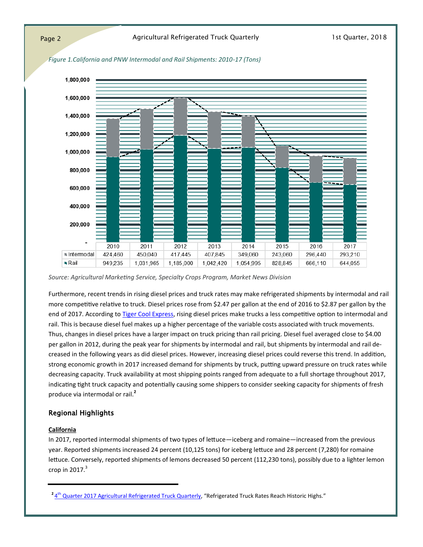

*Figure 1.California and PNW Intermodal and Rail Shipments: 2010-17 (Tons)*

*Source: Agricultural Marketing Service, Specialty Crops Program, Market News Division*

Furthermore, recent trends in rising diesel prices and truck rates may make refrigerated shipments by intermodal and rail more competitive relative to truck. Diesel prices rose from \$2.47 per gallon at the end of 2016 to \$2.87 per gallon by the end of 2017. According to [Tiger Cool Express,](http://www.tigercoolexpress.com/perishables-return-rail/) rising diesel prices make trucks a less competitive option to intermodal and rail. This is because diesel fuel makes up a higher percentage of the variable costs associated with truck movements. Thus, changes in diesel prices have a larger impact on truck pricing than rail pricing. Diesel fuel averaged close to \$4.00 per gallon in 2012, during the peak year for shipments by intermodal and rail, but shipments by intermodal and rail decreased in the following years as did diesel prices. However, increasing diesel prices could reverse this trend. In addition, strong economic growth in 2017 increased demand for shipments by truck, putting upward pressure on truck rates while decreasing capacity. Truck availability at most shipping points ranged from adequate to a full shortage throughout 2017, indicating tight truck capacity and potentially causing some shippers to consider seeking capacity for shipments of fresh produce via intermodal or rail.**<sup>2</sup>**

### Regional Highlights

#### **California**

In 2017, reported intermodal shipments of two types of lettuce—iceberg and romaine—increased from the previous year. Reported shipments increased 24 percent (10,125 tons) for iceberg lettuce and 28 percent (7,280) for romaine lettuce. Conversely, reported shipments of lemons decreased 50 percent (112,230 tons), possibly due to a lighter lemon crop in  $2017.<sup>3</sup>$ 

<sup>&</sup>lt;sup>2</sup> 4<sup>th</sup> [Quarter 2017 Agricultural Refrigerated Truck Quarterly](https://www.ams.usda.gov/sites/default/files/media/RTQ4thquarter2017.pdf), "Refrigerated Truck Rates Reach Historic Highs."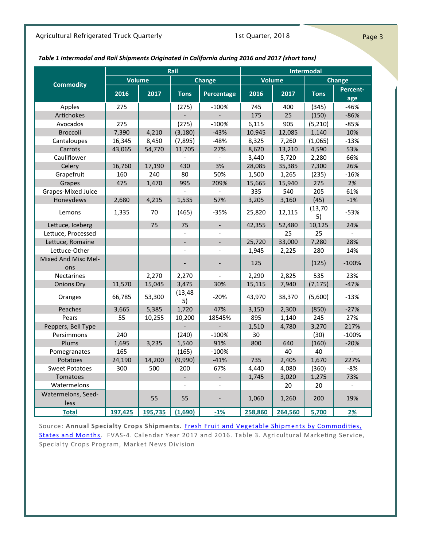### Agricultural Refrigerated Truck Quarterly **1st Quarter, 2018** Page 3

### *Table 1 Intermodal and Rail Shipments Originated in California during 2016 and 2017 (short tons)*

| Rail                       |         |         |                          |                          |         | <b>Intermodal</b> |                |                |
|----------------------------|---------|---------|--------------------------|--------------------------|---------|-------------------|----------------|----------------|
|                            | Volume  |         |                          | Change                   | Volume  |                   |                | Change         |
| <b>Commodity</b>           | 2016    | 2017    | <b>Tons</b>              | Percentage               | 2016    | 2017              | <b>Tons</b>    | Percent-       |
|                            |         |         |                          |                          |         |                   |                | age            |
| Apples                     | 275     |         | (275)                    | $-100%$                  | 745     | 400               | (345)          | -46%           |
| Artichokes                 |         |         |                          |                          | 175     | 25                | (150)          | $-86%$         |
| Avocados                   | 275     |         | (275)                    | $-100%$                  | 6,115   | 905               | (5,210)        | $-85%$         |
| <b>Broccoli</b>            | 7,390   | 4,210   | (3, 180)                 | $-43%$                   | 10,945  | 12,085            | 1,140          | 10%            |
| Cantaloupes                | 16,345  | 8,450   | (7, 895)                 | $-48%$                   | 8,325   | 7,260             | (1,065)        | $-13%$         |
| Carrots                    | 43,065  | 54,770  | 11,705                   | 27%                      | 8,620   | 13,210            | 4,590          | 53%            |
| Cauliflower                |         |         |                          | $\overline{\phantom{a}}$ | 3,440   | 5,720             | 2,280          | 66%            |
| Celery                     | 16,760  | 17,190  | 430                      | 3%                       | 28,085  | 35,385            | 7,300          | 26%            |
| Grapefruit                 | 160     | 240     | 80                       | 50%                      | 1,500   | 1,265             | (235)          | $-16%$         |
| Grapes                     | 475     | 1,470   | 995                      | 209%                     | 15,665  | 15,940            | 275            | 2%             |
| Grapes-Mixed Juice         |         |         |                          | $\overline{a}$           | 335     | 540               | 205            | 61%            |
| Honeydews                  | 2,680   | 4,215   | 1,535                    | 57%                      | 3,205   | 3,160             | (45)           | $-1%$          |
| Lemons                     | 1,335   | 70      | (465)                    | $-35%$                   | 25,820  | 12,115            | (13, 70)<br>5) | $-53%$         |
| Lettuce, Iceberg           |         | 75      | 75                       | $\mathbf{r}$             | 42,355  | 52,480            | 10,125         | 24%            |
| Lettuce, Processed         |         |         |                          | $\overline{a}$           |         | 25                | 25             | $\overline{a}$ |
| Lettuce, Romaine           |         |         | $\overline{a}$           | $\blacksquare$           | 25,720  | 33,000            | 7,280          | 28%            |
| Lettuce-Other              |         |         | $\overline{a}$           | $\overline{\phantom{0}}$ | 1,945   | 2,225             | 280            | 14%            |
| <b>Mixed And Misc Mel-</b> |         |         |                          | $\overline{a}$           | 125     |                   | (125)          | $-100%$        |
| ons                        |         |         |                          |                          |         |                   |                |                |
| <b>Nectarines</b>          |         | 2,270   | 2,270                    |                          | 2,290   | 2,825             | 535            | 23%            |
| <b>Onions Dry</b>          | 11,570  | 15,045  | 3,475                    | 30%                      | 15,115  | 7,940             | (7, 175)       | $-47%$         |
| Oranges                    | 66,785  | 53,300  | (13, 48)<br>5)           | $-20%$                   | 43,970  | 38,370            | (5,600)        | $-13%$         |
| Peaches                    | 3,665   | 5,385   | 1,720                    | 47%                      | 3,150   | 2,300             | (850)          | $-27%$         |
| Pears                      | 55      | 10,255  | 10,200                   | 18545%                   | 895     | 1,140             | 245            | 27%            |
| Peppers, Bell Type         |         |         |                          |                          | 1,510   | 4,780             | 3,270          | 217%           |
| Persimmons                 | 240     |         | (240)                    | $-100%$                  | 30      |                   | (30)           | $-100%$        |
| Plums                      | 1,695   | 3,235   | 1,540                    | 91%                      | 800     | 640               | (160)          | $-20%$         |
| Pomegranates               | 165     |         | (165)                    | $-100%$                  |         | 40                | 40             |                |
| Potatoes                   | 24,190  | 14,200  | (9,990)                  | $-41%$                   | 735     | 2,405             | 1,670          | 227%           |
| <b>Sweet Potatoes</b>      | 300     | 500     | 200                      | 67%                      | 4,440   | 4,080             | (360)          | $-8%$          |
| <b>Tomatoes</b>            |         |         | $\overline{\phantom{a}}$ | $\overline{\phantom{a}}$ | 1,745   | 3,020             | 1,275          | 73%            |
| Watermelons                |         |         |                          | $\overline{a}$           |         | 20                | 20             | $\blacksquare$ |
| Watermelons, Seed-         |         |         |                          |                          |         |                   |                |                |
| less                       |         | 55      | 55                       | $\overline{\phantom{a}}$ | 1.060   | 1,260             | 200            | 19%            |
| <b>Total</b>               | 197,425 | 195,735 | (1,690)                  | $-1%$                    | 258,860 | 264,560           | 5,700          | 2%             |

Source: **Annual Specialty Crops Shipments.** [Fresh Fruit and Vegetable Shipments by Commodities,](https://www.ams.usda.gov/market-news/fruit-and-vegetable-movement-reports?)  [States and Months.](https://www.ams.usda.gov/market-news/fruit-and-vegetable-movement-reports?) FVAS-4. Calendar Year 2017 and 2016. Table 3. Agricultural Marketing Service, Specialty Crops Program, Market News Division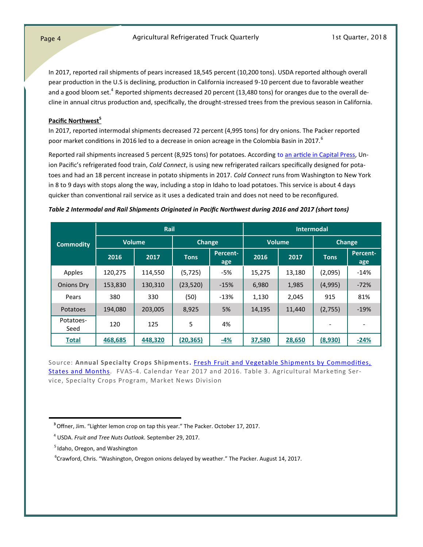In 2017, reported rail shipments of pears increased 18,545 percent (10,200 tons). USDA reported although overall pear production in the U.S is declining, production in California increased 9-10 percent due to favorable weather and a good bloom set.<sup>4</sup> Reported shipments decreased 20 percent (13,480 tons) for oranges due to the overall decline in annual citrus production and, specifically, the drought-stressed trees from the previous season in California.

#### **Pacific Northwest<sup>5</sup>**

In 2017, reported intermodal shipments decreased 72 percent (4,995 tons) for dry onions. The Packer reported poor market conditions in 2016 led to a decrease in onion acreage in the Colombia Basin in 2017.<sup>6</sup>

Reported rail shipments increased 5 percent (8,925 tons) for potatoes. According to [an article in Capital Press,](http://www.capitalpress.com/Idaho/20170911/railroads-announce-improvements-to-cold-connect-train) Union Pacific's refrigerated food train, *Cold Connect*, is using new refrigerated railcars specifically designed for potatoes and had an 18 percent increase in potato shipments in 2017. *Cold Connect* runs from Washington to New York in 8 to 9 days with stops along the way, including a stop in Idaho to load potatoes. This service is about 4 days quicker than conventional rail service as it uses a dedicated train and does not need to be reconfigured.

#### *Table 2 Intermodal and Rail Shipments Originated in Pacific Northwest during 2016 and 2017 (short tons)*

|                   |         | Rail          |             | <b>Intermodal</b> |        |               |                          |                        |  |
|-------------------|---------|---------------|-------------|-------------------|--------|---------------|--------------------------|------------------------|--|
| <b>Commodity</b>  |         | <b>Volume</b> |             | <b>Change</b>     |        | <b>Volume</b> | <b>Change</b>            |                        |  |
|                   | 2016    | 2017          | <b>Tons</b> | Percent-<br>age   | 2016   | 2017          | <b>Tons</b>              | <b>Percent-</b><br>age |  |
| Apples            | 120,275 | 114,550       | (5, 725)    | -5%               | 15,275 | 13,180        | (2,095)                  | $-14%$                 |  |
| <b>Onions Dry</b> | 153,830 | 130,310       | (23, 520)   | $-15%$            | 6,980  | 1,985         | (4,995)                  | $-72%$                 |  |
| Pears             | 380     | 330           | (50)        | $-13%$            | 1,130  | 2,045         | 915                      | 81%                    |  |
| <b>Potatoes</b>   | 194,080 | 203,005       | 8,925       | 5%                | 14,195 | 11,440        | (2,755)                  | $-19%$                 |  |
| Potatoes-<br>Seed | 120     | 125           | 5           | 4%                |        |               | $\overline{\phantom{0}}$ |                        |  |
| <b>Total</b>      | 468,685 | 448,320       | (20, 365)   | <u>-4%</u>        | 37,580 | 28,650        | (8,930)                  | $-24%$                 |  |

Source: **Annual Specialty Crops Shipments.** [Fresh Fruit and Vegetable Shipments by Commodities,](https://www.ams.usda.gov/market-news/fruit-and-vegetable-movement-reports?)  [States and Months.](https://www.ams.usda.gov/market-news/fruit-and-vegetable-movement-reports?) FVAS-4. Calendar Year 2017 and 2016. Table 3. Agricultural Marketing Service, Specialty Crops Program, Market News Division

**<sup>3</sup>**Offner, Jim. "Lighter lemon crop on tap this year." The Packer. October 17, 2017.

<sup>4</sup> USDA. *Fruit and Tree Nuts Outlook.* September 29, 2017.

 $<sup>5</sup>$  Idaho, Oregon, and Washington</sup>

<sup>&</sup>lt;sup>6</sup>Crawford, Chris. "Washington, Oregon onions delayed by weather." The Packer. August 14, 2017.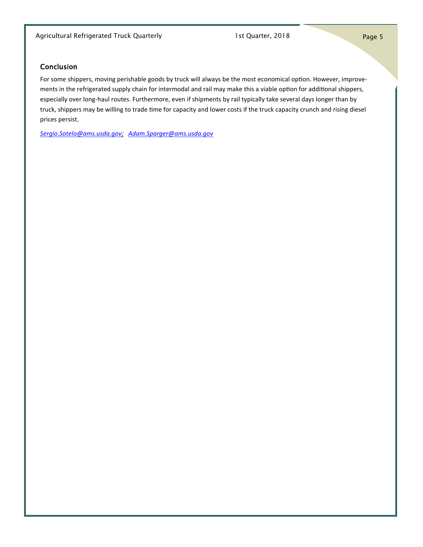### Conclusion

For some shippers, moving perishable goods by truck will always be the most economical option. However, improvements in the refrigerated supply chain for intermodal and rail may make this a viable option for additional shippers, especially over long-haul routes. Furthermore, even if shipments by rail typically take several days longer than by truck, shippers may be willing to trade time for capacity and lower costs if the truck capacity crunch and rising diesel prices persist.

*[Sergio.Sotelo@ams.usda.gov;](mailto:Sergio.Sotelo@ams.usda.gov) Adam.Sparger@ams.usda.gov*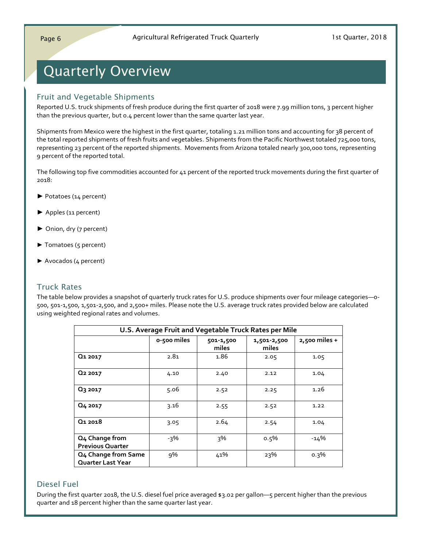# <span id="page-5-0"></span>Quarterly Overview

### Fruit and Vegetable Shipments

Reported U.S. truck shipments of fresh produce during the first quarter of 2018 were 7.99 million tons, 3 percent higher than the previous quarter, but 0.4 percent lower than the same quarter last year.

Shipments from Mexico were the highest in the first quarter, totaling 1.21 million tons and accounting for 38 percent of the total reported shipments of fresh fruits and vegetables. Shipments from the Pacific Northwest totaled 725,000 tons, representing 23 percent of the reported shipments. Movements from Arizona totaled nearly 300,000 tons, representing 9 percent of the reported total.

The following top five commodities accounted for 41 percent of the reported truck movements during the first quarter of 2018:

- ► Potatoes (14 percent)
- ► Apples (11 percent)
- ► Onion, dry (7 percent)
- ► Tomatoes (5 percent)
- ► Avocados (4 percent)

### Truck Rates

The table below provides a snapshot of quarterly truck rates for U.S. produce shipments over four mileage categories—0- 500, 501-1,500, 1,501-2,500, and 2,500+ miles. Please note the U.S. average truck rates provided below are calculated using weighted regional rates and volumes.

|                                                 |             | U.S. Average Fruit and Vegetable Truck Rates per Mile |                      |                 |
|-------------------------------------------------|-------------|-------------------------------------------------------|----------------------|-----------------|
|                                                 | o-500 miles | 501-1,500<br>miles                                    | 1,501-2,500<br>miles | $2,500$ miles + |
| Q <sub>1</sub> 2017                             | 2.81        | 1.86                                                  | 2.05                 | 1.05            |
| Q <sub>2</sub> 2017                             | 4.10        | 2.40                                                  | 2.12                 | 1.04            |
| Q3 2017                                         | 5.06        | 2.52                                                  | 2.25                 | 1.26            |
| Q <sub>4</sub> 2017                             | 3.16        | 2.55                                                  | 2.52                 | 1.22            |
| Q <sub>1</sub> 2018                             | 3.05        | 2.64                                                  | 2.54                 | 1.04            |
| Q4 Change from                                  | -3%         | २%                                                    | $0.5\%$              | $-14%$          |
| <b>Previous Quarter</b>                         |             |                                                       |                      |                 |
| Q4 Change from Same<br><b>Quarter Last Year</b> | 9%          | 41%                                                   | 23%                  | $0.3\%$         |
|                                                 |             |                                                       |                      |                 |

### Diesel Fuel

During the first quarter 2018, the U.S. diesel fuel price averaged \$3.02 per gallon—5 percent higher than the previous quarter and 18 percent higher than the same quarter last year.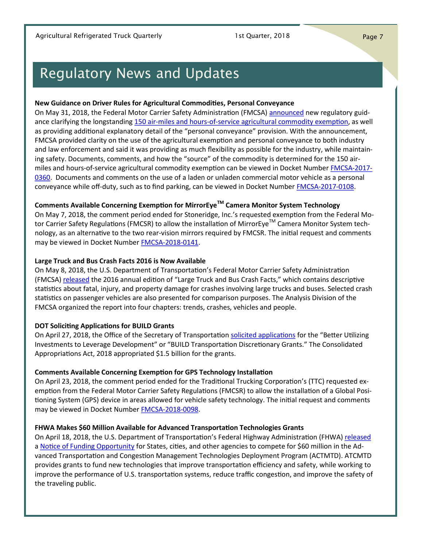# <span id="page-6-0"></span>Regulatory News and Updates

### **New Guidance on Driver Rules for Agricultural Commodities, Personal Conveyance**

On May 31, 2018, the Federal Motor Carrier Safety Administration (FMCSA) [announced](https://www.fmcsa.dot.gov/newsroom/fmcsa-announces-clarifying-regulatory-guidance-transportation-agricultural-commodities) new regulatory guidance clarifying the longstanding 150 air-miles and hours-of-service agricultural commodity exemption, as well as providing additional explanatory detail of the "personal conveyance" provision. With the announcement, FMCSA provided clarity on the use of the agricultural exemption and personal conveyance to both industry and law enforcement and said it was providing as much flexibility as possible for the industry, while maintaining safety. Documents, comments, and how the "source" of the commodity is determined for the 150 airmiles and hours-of-service agricultural commodity exemption can be viewed in Docket Number [FMCSA](https://www.regulations.gov/docket?D=FMCSA-2017-0360)-2017- [0360.](https://www.regulations.gov/docket?D=FMCSA-2017-0360) Documents and comments on the use of a laden or unladen commercial motor vehicle as a personal conveyance while off-duty, such as to find parking, can be viewed in Docket Number [FMCSA](https://www.regulations.gov/docket?D=FMCSA-2017-0108)-2017-0108.

### **Comments Available Concerning Exemption for MirrorEyeTM Camera Monitor System Technology**

On May 7, 2018, the comment period ended for Stoneridge, Inc.'s requested exemption from the Federal Motor Carrier Safety Regulations (FMCSR) to allow the installation of MirrorEye™ Camera Monitor System technology, as an alternative to the two rear-vision mirrors required by FMCSR. The initial request and comments may be viewed in Docket Number [FMCSA](http://www.regulations.gov/#!docketDetail;D=FMCSA-2018-0141)-2018-0141.

### **Large Truck and Bus Crash Facts 2016 is Now Available**

On May 8, 2018, the U.S. Department of Transportation's Federal Motor Carrier Safety Administration (FMCSA) [released](https://www.fmcsa.dot.gov/safety/data-and-statistics/large-truck-and-bus-crash-facts-2016) the 2016 annual edition of "Large Truck and Bus Crash Facts," which contains descriptive statistics about fatal, injury, and property damage for crashes involving large trucks and buses. Selected crash statistics on passenger vehicles are also presented for comparison purposes. The Analysis Division of the FMCSA organized the report into four chapters: trends, crashes, vehicles and people.

### **DOT Soliciting Applications for BUILD Grants**

On April 27, 2018, the Office of the Secretary of Transportation [solicited applications](https://www.transportation.gov/sites/dot.gov/files/docs/policy-initiatives/build/114796/fed-reg-build-nofo-2018_0.pdf) for the "Better Utilizing Investments to Leverage Development" or "BUILD Transportation Discretionary Grants." The Consolidated Appropriations Act, 2018 appropriated \$1.5 billion for the grants.

### **Comments Available Concerning Exemption for GPS Technology Installation**

On April 23, 2018, the comment period ended for the Traditional Trucking Corporation's (TTC) requested exemption from the Federal Motor Carrier Safety Regulations (FMCSR) to allow the installation of a Global Positioning System (GPS) device in areas allowed for vehicle safety technology. The initial request and comments may be viewed in Docket Number [FMCSA](http://www.regulations.gov/#!docketDetail;D=FMCSA-2018-0098)-2018-0098.

### **FHWA Makes \$60 Million Available for Advanced Transportation Technologies Grants**

On April 18, 2018, the U.S. Department of Transportation's Federal Highway Administration (FHWA) [released](https://www.fhwa.dot.gov/pressroom/fhwa1806.cfm) a [Notice of Funding Opportunity](https://www.grants.gov/web/grants/view-opportunity.html?oppId=303763) for States, cities, and other agencies to compete for \$60 million in the Advanced Transportation and Congestion Management Technologies Deployment Program (ACTMTD). ATCMTD provides grants to fund new technologies that improve transportation efficiency and safety, while working to improve the performance of U.S. transportation systems, reduce traffic congestion, and improve the safety of the traveling public.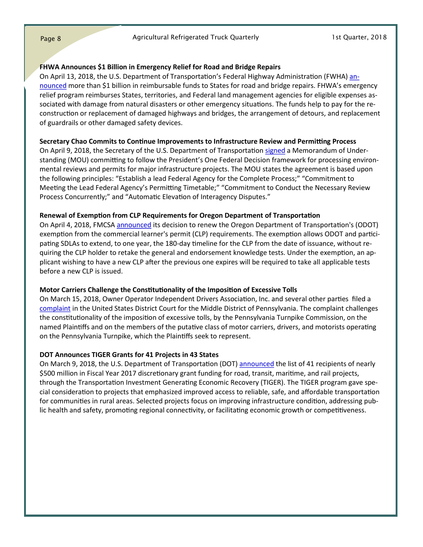### **FHWA Announces \$1 Billion in Emergency Relief for Road and Bridge Repairs**

On April 13, 2018, the U.S. Department of Transportation's Federal Highway Administration (FWHA) [an](https://www.transportation.gov/briefing-room/fhwa0518)[nounced](https://www.transportation.gov/briefing-room/fhwa0518) more than \$1 billion in reimbursable funds to States for road and bridge repairs. FHWA's emergency relief program reimburses States, territories, and Federal land management agencies for eligible expenses associated with damage from natural disasters or other emergency situations. The funds help to pay for the reconstruction or replacement of damaged highways and bridges, the arrangement of detours, and replacement of guardrails or other damaged safety devices.

### **Secretary Chao Commits to Continue Improvements to Infrastructure Review and Permitting Process**

On April 9, 2018, the Secretary of the U.S. Department of Transportation [signed](https://www.transportation.gov/briefing-room/secretary-chao-commits-continue-improvements-infrastructure-review-and-permitting) a Memorandum of Understanding (MOU) committing to follow the President's One Federal Decision framework for processing environmental reviews and permits for major infrastructure projects. The MOU states the agreement is based upon the following principles: "Establish a lead Federal Agency for the Complete Process;" "Commitment to Meeting the Lead Federal Agency's Permitting Timetable;" "Commitment to Conduct the Necessary Review Process Concurrently;" and "Automatic Elevation of Interagency Disputes."

### **Renewal of Exemption from CLP Requirements for Oregon Department of Transportation**

On April 4, 2018, FMCSA [announced](https://www.gpo.gov/fdsys/pkg/FR-2018-04-04/pdf/2018-06860.pdf) its decision to renew the Oregon Department of Transportation's (ODOT) exemption from the commercial learner's permit (CLP) requirements. The exemption allows ODOT and participating SDLAs to extend, to one year, the 180-day timeline for the CLP from the date of issuance, without requiring the CLP holder to retake the general and endorsement knowledge tests. Under the exemption, an applicant wishing to have a new CLP after the previous one expires will be required to take all applicable tests before a new CLP is issued.

### **Motor Carriers Challenge the Constitutionality of the Imposition of Excessive Tolls**

On March 15, 2018, Owner Operator Independent Drivers Association, Inc. and several other parties filed a [complaint](https://www.ooida.com/CourtActions/summary.asp?CaseNo=62) in the United States District Court for the Middle District of Pennsylvania. The complaint challenges the constitutionality of the imposition of excessive tolls, by the Pennsylvania Turnpike Commission, on the named Plaintiffs and on the members of the putative class of motor carriers, drivers, and motorists operating on the Pennsylvania Turnpike, which the Plaintiffs seek to represent.

### **DOT Announces TIGER Grants for 41 Projects in 43 States**

On March 9, 2018, the U.S. Department of Transportation (DOT) [announced](https://www.transportation.gov/briefing-room/dot1818National) the list of 41 recipients of nearly \$500 million in Fiscal Year 2017 discretionary grant funding for road, transit, maritime, and rail projects, through the Transportation Investment Generating Economic Recovery (TIGER). The TIGER program gave special consideration to projects that emphasized improved access to reliable, safe, and affordable transportation for communities in rural areas. Selected projects focus on improving infrastructure condition, addressing public health and safety, promoting regional connectivity, or facilitating economic growth or competitiveness.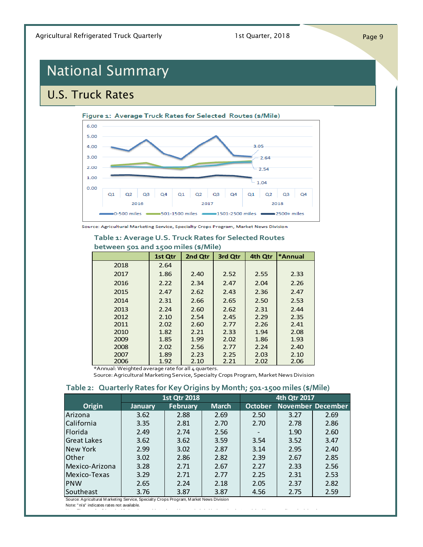# <span id="page-8-0"></span>National Summary

## U.S. Truck Rates



### **Table 1: Average U.S. Truck Rates for Selected Routes**

### **between 501 and 1500 miles (\$/Mile)**

|      | 1st Qtr | 2nd Qtr | 3rd Qtr | 4th Qtr | *Annual |
|------|---------|---------|---------|---------|---------|
| 2018 | 2.64    |         |         |         |         |
| 2017 | 1.86    | 2.40    | 2.52    | 2.55    | 2.33    |
| 2016 | 2.22    | 2.34    | 2.47    | 2.04    | 2.26    |
| 2015 | 2.47    | 2.62    | 2.43    | 2.36    | 2.47    |
| 2014 | 2.31    | 2.66    | 2.65    | 2.50    | 2.53    |
| 2013 | 2.24    | 2.60    | 2.62    | 2.31    | 2.44    |
| 2012 | 2.10    | 2.54    | 2.45    | 2.29    | 2.35    |
| 2011 | 2.02    | 2.60    | 2.77    | 2.26    | 2.41    |
| 2010 | 1.82    | 2.21    | 2.33    | 1.94    | 2.08    |
| 2009 | 1.85    | 1.99    | 2.02    | 1.86    | 1.93    |
| 2008 | 2.02    | 2.56    | 2.77    | 2.24    | 2.40    |
| 2007 | 1.89    | 2.23    | 2.25    | 2.03    | 2.10    |
| 2006 | 1.92    | 2.10    | 2.21    | 2.02    | 2.06    |

\*Annual: Weighted average rate for all 4 quarters.

Source: Agricultural Marketing Service, Specialty Crops Program, Market News Division

### **Table 2: Quarterly Rates for Key Origins by Month; 501-1500 miles (\$/Mile)**

|                    |                | <b>1st Qtr 2018</b> |              | 4th Qtr 2017   |      |                          |  |  |
|--------------------|----------------|---------------------|--------------|----------------|------|--------------------------|--|--|
| Origin             | <b>January</b> | <b>February</b>     | <b>March</b> | <b>October</b> |      | <b>November December</b> |  |  |
| Arizona            | 3.62           | 2.88                | 2.69         | 2.50           | 3.27 | 2.69                     |  |  |
| California         | 3.35           | 2.81                | 2.70         | 2.70           | 2.78 | 2.86                     |  |  |
| Florida            | 2.49           | 2.74                | 2.56         |                | 1.90 | 2.60                     |  |  |
| <b>Great Lakes</b> | 3.62           | 3.62                | 3.59         | 3.54           | 3.52 | 3.47                     |  |  |
| <b>New York</b>    | 2.99           | 3.02                | 2.87         | 3.14           | 2.95 | 2.40                     |  |  |
| <b>Other</b>       | 3.02           | 2.86                | 2.82         | 2.39           | 2.67 | 2.85                     |  |  |
| Mexico-Arizona     | 3.28           | 2.71                | 2.67         | 2.27           | 2.33 | 2.56                     |  |  |
| Mexico-Texas       | 3.29           | 2.71                | 2.77         | 2.25           | 2.31 | 2.53                     |  |  |
| PNW                | 2.65           | 2.24                | 2.18         | 2.05           | 2.37 | 2.82                     |  |  |
| Southeast          | 3.76           | 3.87                | 3.87         | 4.56           | 2.75 | 2.59                     |  |  |

Source: Agricultural M arketing Service, Specialty Crops Program, M arket News Division

Note: " n/a" indicates rates not available.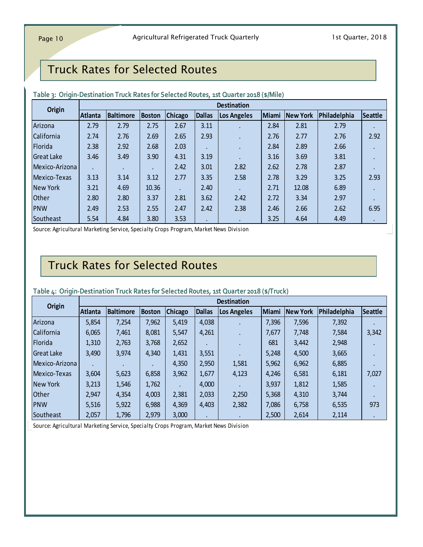### Truck Rates for Selected Routes

| Table 3: Origin-Destination Truck Rates for Selected Routes, 1st Quarter 2018 (\$/Mile) |                |                  |               |                |               |                    |       |          |              |           |
|-----------------------------------------------------------------------------------------|----------------|------------------|---------------|----------------|---------------|--------------------|-------|----------|--------------|-----------|
| <b>Origin</b>                                                                           |                |                  |               |                |               | <b>Destination</b> |       |          |              |           |
|                                                                                         | <b>Atlanta</b> | <b>Baltimore</b> | <b>Boston</b> | <b>Chicago</b> | <b>Dallas</b> | Los Angeles        | Miami | New York | Philadelphia | Seattle   |
| Arizona                                                                                 | 2.79           | 2.79             | 2.75          | 2.67           | 3.11          |                    | 2.84  | 2.81     | 2.79         |           |
| California                                                                              | 2.74           | 2.76             | 2.69          | 2.65           | 2.93          |                    | 2.76  | 2.77     | 2.76         | 2.92      |
| Florida                                                                                 | 2.38           | 2.92             | 2.68          | 2.03           |               |                    | 2.84  | 2.89     | 2.66         |           |
| <b>Great Lake</b>                                                                       | 3.46           | 3.49             | 3.90          | 4.31           | 3.19          |                    | 3.16  | 3.69     | 3.81         | $\cdot$   |
| Mexico-Arizona                                                                          |                |                  |               | 2.42           | 3.01          | 2.82               | 2.62  | 2.78     | 2.87         |           |
| Mexico-Texas                                                                            | 3.13           | 3.14             | 3.12          | 2.77           | 3.35          | 2.58               | 2.78  | 3.29     | 3.25         | 2.93      |
| New York                                                                                | 3.21           | 4.69             | 10.36         |                | 2.40          |                    | 2.71  | 12.08    | 6.89         |           |
| <b>Other</b>                                                                            | 2.80           | 2.80             | 3.37          | 2.81           | 3.62          | 2.42               | 2.72  | 3.34     | 2.97         |           |
| <b>PNW</b>                                                                              | 2.49           | 2.53             | 2.55          | 2.47           | 2.42          | 2.38               | 2.46  | 2.66     | 2.62         | 6.95      |
| Southeast                                                                               | 5.54           | 4.84             | 3.80          | 3.53           |               |                    | 3.25  | 4.64     | 4.49         | $\bullet$ |
| Source: Agricultural Marketing Service, Specialty Crops Program, Market News Division   |                |                  |               |                |               |                    |       |          |              |           |

### **Table 3: Origin-Destination Truck Rates for Selected Routes, 1st Quarter 2018 (\$/Mile)**

### Truck Rates for Selected Routes

### **Atlanta Baltimore Boston Chicago Dallas Los Angeles Miami New York Philadelphia Seattle<br>
5,854 7,254 7,962 5,419 4,038 7,396 7,396 7,596 7,392 7,392** Table 4: Origin-Destination Truck Rates for Selected Routes, 1st Quarter 2018 (\$/Truck)<br> **Origin**<br>
Arizona 5,854 7,254 7,962 5,419 4,038 **. 7,396 7,596 7,392**<br>
California 6,065 7,461 8,081 5,547 4,261 1,677 7,3748 7,584 3, Provided Provided Provident Prock Nates To Detected Nobles, Exchange 2010 (3, 110ck)<br>
Origin Destination<br>
Arizona 5,854 7,254 7,962 5,419 4,038 7,396 7,396 7,392<br>
California 6,065 7,461 8,081 5,547 4,261 1,310 2,763 3,768 Philadelphia Seat<br>
Arizona 5,854 7,254 7,962 5,419 4,038 7,396 7,596 7,392 .<br>
California 6,065 7,461 8,081 5,547 4,261 1,431 1,431 1,431 1,431 1,431 1,431 1,431 1,431 1,431 1,431 1,431 1,431 1,431 1,431 1,431 1,431 1,431 1 Arizona<br>
Arizona 5,854 7,254 7,962 5,419 4,038 7,396 7,596 7,392<br>
California 6,065 7,461 8,081 5,547 4,261 7,677 7,748 7,584 3,3<br>
Florida 1,310 2,763 3,374 4,340 1,431 3,551 681 3,442 2,948<br>
Great Lake 3,490 3,974 4,340 1, Mexico-Arizona . . . 4,350 2,950 1,581 5,962 6,962 6,885 . Elorida<br>
Great Lake<br>
Mexico-Texas 3,490 3,974 4,340 4,340 4,3551<br>
Mexico-Texas 3,604 5,623 6,858 3,962 1,677 4,123 4,246 6,581 6,181 7,027<br>
New York 3,213 1,546 1,762 . 4,000 4,000 1,581 4,246 6,581 6,181 7,027 Nexico-Arizona<br>
Mexico-Arizona<br>
New York 3,213 1,546 1,762 1,762 1,762 1,762 1,81 2,931 2,250 1,812 1,812 1,585 1,865<br>
Other 1,762 1,762 1,762 2,381 2,033 2,250 5,368 4,310 3,744 3,744 Other PNW<br>
PNW 1975.516 5,922 6,988 4,359 4,369 4,403 2,982 7,086 6,758 6,535 97<br>  $\begin{bmatrix} 3,504 \ 3,604 \ 3,213 \ 5,516 \ 5,962 \ 5,516 \ 5,962 \ 5,516 \ 5,962 \ 5,962 \ 5,516 \ 5,962 \ 5,962 \ 5,962 \ 5,962 \ 5,962 \ 5,962 \ 5,962 \ 5,962 \$ Nexico-Texas 3,604 5,623 6,858 3,962 1,530 4,301 4,246 6,581 6,181 7,027<br>
New York 3,213 1,546 1,762 4,000 4,400 3 3,937 1,812 1,585<br>
Other 2,947 4,354 4,003 2,381 2,033 2,250 5,368 4,310 3,744<br>
Southeast 2,057 1,796 2,979 Southeast 2,057 1,796 2,979 3,000 . . 2,500 2,614 2,114 . **Origin Destination**

### **Table 4: Origin-Destination Truck Rates for Selected Routes, 1st Quarter 2018 (\$/Truck)**

Source: Agricultural Marketing Service, Specialty Crops Program, Market News Division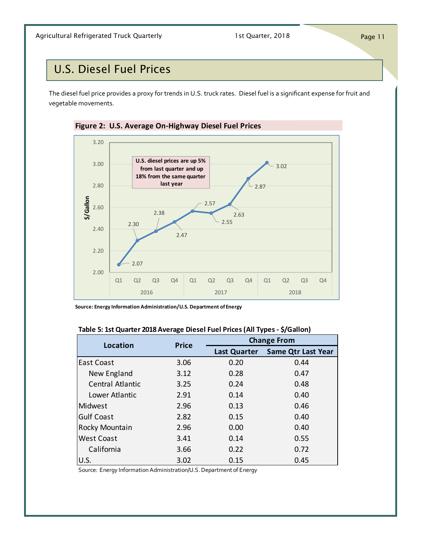### <span id="page-10-0"></span>U.S. Diesel Fuel Prices

The diesel fuel price provides a proxy for trends in U.S. truck rates. Diesel fuel is a significant expense for fruit and vegetable movements.



**Source: Energy Information Administration/U.S. Department of Energy**

| <b>Location</b>         | <b>Price</b> | <b>Change From</b> |                                 |  |  |  |
|-------------------------|--------------|--------------------|---------------------------------|--|--|--|
|                         |              |                    | Last Quarter Same Qtr Last Year |  |  |  |
| East Coast              | 3.06         | 0.20               | 0.44                            |  |  |  |
| New England             | 3.12         | 0.28               | 0.47                            |  |  |  |
| <b>Central Atlantic</b> | 3.25         | 0.24               | 0.48                            |  |  |  |
| Lower Atlantic          | 2.91         | 0.14               | 0.40                            |  |  |  |
| Midwest                 | 2.96         | 0.13               | 0.46                            |  |  |  |
| <b>Gulf Coast</b>       | 2.82         | 0.15               | 0.40                            |  |  |  |
| Rocky Mountain          | 2.96         | 0.00               | 0.40                            |  |  |  |
| <b>West Coast</b>       | 3.41         | 0.14               | 0.55                            |  |  |  |
| California              | 3.66         | 0.22               | 0.72                            |  |  |  |
| U.S.                    | 3.02         | 0.15               | 0.45                            |  |  |  |

### **Table 5: 1st Quarter 2018 Average Diesel Fuel Prices (All Types - \$/Gallon)**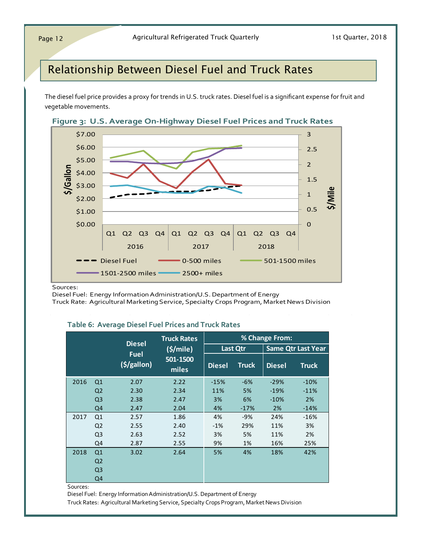### Relationship Between Diesel Fuel and Truck Rates

The diesel fuel price provides a proxy for trends in U.S. truck rates. Diesel fuel is a significant expense for fruit and vegetable movements.





Sources:

Diesel Fuel: Energy Information Administration/U.S. Department of Energy

Truck Rate: Agricultural Marketing Service, Specialty Crops Program, Market News Division

#### **Table 6: Average Diesel Fuel Prices and Truck Rates**

|      |                |                                | <b>Truck Rates</b> |               |              | % Change From: |                           |
|------|----------------|--------------------------------|--------------------|---------------|--------------|----------------|---------------------------|
|      |                | <b>Diesel</b>                  | (S/mile)           |               | Last Qtr     |                | <b>Same Qtr Last Year</b> |
|      |                | <b>Fuel</b><br>$(\frac{1}{2})$ | 501-1500<br>miles  | <b>Diesel</b> | <b>Truck</b> | <b>Diesel</b>  | <b>Truck</b>              |
| 2016 | Q <sub>1</sub> | 2.07                           | 2.22               | $-15%$        | $-6%$        | $-29%$         | $-10%$                    |
|      | Q <sub>2</sub> | 2.30                           | 2.34               | 11%           | 5%           | $-19%$         | $-11%$                    |
|      | Q <sub>3</sub> | 2.38                           | 2.47               | 3%            | 6%           | $-10%$         | 2%                        |
|      | Q4             | 2.47                           | 2.04               | 4%            | $-17%$       | 2%             | $-14%$                    |
| 2017 | Q1             | 2.57                           | 1.86               | 4%            | $-9%$        | 24%            | $-16%$                    |
|      | Q <sub>2</sub> | 2.55                           | 2.40               | $-1%$         | 29%          | 11%            | 3%                        |
|      | Q <sub>3</sub> | 2.63                           | 2.52               | 3%            | 5%           | 11%            | 2%                        |
|      | Q4             | 2.87                           | 2.55               | 9%            | 1%           | 16%            | 25%                       |
| 2018 | Q1             | 3.02                           | 2.64               | 5%            | 4%           | 18%            | 42%                       |
|      | Q <sub>2</sub> |                                |                    |               |              |                |                           |
|      | Q <sub>3</sub> |                                |                    |               |              |                |                           |
|      | Q4             |                                |                    |               |              |                |                           |

Sources:

Diesel Fuel: Energy Information Administration/U.S. Department of Energy

Truck Rates: Agricultural Marketing Service, Specialty Crops Program, Market News Division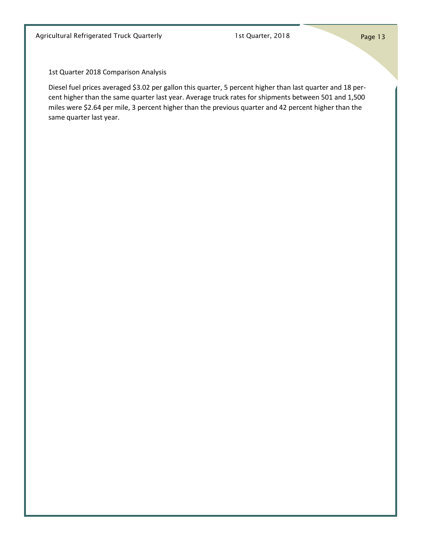1st Quarter 2018 Comparison Analysis

Diesel fuel prices averaged \$3.02 per gallon this quarter, 5 percent higher than last quarter and 18 percent higher than the same quarter last year. Average truck rates for shipments between 501 and 1,500 miles were \$2.64 per mile, 3 percent higher than the previous quarter and 42 percent higher than the same quarter last year.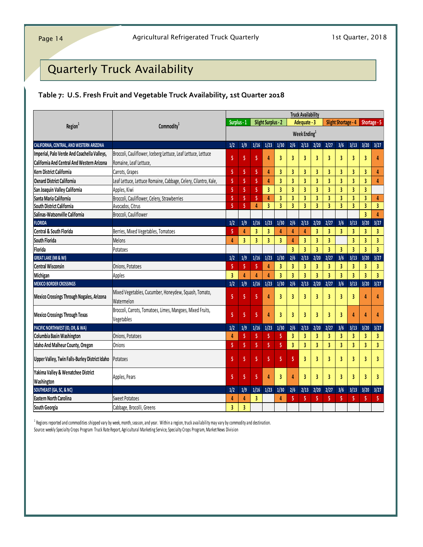## <span id="page-13-0"></span>Quarterly Truck Availability

### **Table 7: U.S. Fresh Fruit and Vegetable Truck Availability, 1st Quarter 2018**

|                                                   |                                                                          |                |                         |                         |                           |                         | <b>Truck Availability</b> |                         |                         |                         |                            |                         |                |                         |
|---------------------------------------------------|--------------------------------------------------------------------------|----------------|-------------------------|-------------------------|---------------------------|-------------------------|---------------------------|-------------------------|-------------------------|-------------------------|----------------------------|-------------------------|----------------|-------------------------|
| Region <sup>1</sup>                               | Commodity <sup>1</sup>                                                   | Surplus - 1    |                         |                         | <b>Slight Surplus - 2</b> |                         |                           | Adequate - 3            |                         |                         | <b>Slight Shortage - 4</b> |                         | Shortage - 5   |                         |
|                                                   |                                                                          |                |                         |                         |                           |                         |                           | Week Ending $1$         |                         |                         |                            |                         |                |                         |
| CALIFORNIA, CENTRAL, AND WESTERN ARIZONA          |                                                                          | 1/2            | 1/9                     | 1/16                    | 1/23                      | $1/30$                  | 2/6                       | 2/13                    | 2/20                    | 2/27                    | 3/6                        | 3/13                    | 3/20           | 3/27                    |
| Imperial, Palo Verde And Coachella Valleys,       | Broccoli, Cauliflower, Iceberg Lettuce, Leaf Lettuce, Lettuce            | 5              | 5                       | 5                       | $\overline{4}$            | 3                       | 3                         | 3                       | 3                       | 3                       | 3                          | $\overline{\mathbf{3}}$ | 3              | 4                       |
| <b>California And Central And Western Arizona</b> | Romaine, Leaf Lettuce,                                                   |                |                         |                         |                           |                         |                           |                         |                         |                         |                            |                         |                |                         |
| <b>Kern District California</b>                   | Carrots, Grapes                                                          | 5              | 5                       | 5                       | 4                         | 3                       | 3                         | 3                       | 3                       | 3                       | 3                          | 3                       | 3              | 4                       |
| <b>Oxnard District California</b>                 | Leaf Lettuce, Lettuce Romaine, Cabbage, Celery, Cilantro, Kale,          | 5              | 5                       | 5                       | $\overline{4}$            | 3                       | 3                         | 3                       | 3                       | $\overline{3}$          | 3                          | 3                       | 3              | 4                       |
| San Joaquin Valley California                     | Apples, Kiwi                                                             | 5              | 5                       | 5                       | $\overline{3}$            | 3                       | $\overline{3}$            | 3                       | $\overline{\mathbf{3}}$ | $\overline{\mathbf{3}}$ | $\overline{3}$             | 3                       | 3              |                         |
| Santa Maria California                            | Broccoli, Cauliflower, Celery, Strawberries                              | 5              | 5                       | 5                       | $\overline{4}$            | $\overline{\mathbf{3}}$ | $\overline{\mathbf{3}}$   | $\overline{\mathbf{3}}$ | $\overline{\mathbf{3}}$ | $\overline{\mathbf{3}}$ | $\overline{\mathbf{3}}$    | $\overline{3}$          | 3              | 4                       |
| South District California                         | Avocados, Citrus                                                         | 5              | 5                       | $\overline{a}$          | $\overline{\mathbf{3}}$   | $\overline{3}$          | $\overline{3}$            | $\overline{\mathbf{3}}$ | $\overline{\mathbf{3}}$ | $\overline{\mathbf{3}}$ | $\overline{3}$             | $\overline{3}$          | 3              | $\overline{\mathbf{3}}$ |
| Salinas-Watsonville California                    | Broccoli, Cauliflower                                                    |                |                         |                         |                           |                         |                           |                         |                         |                         |                            |                         | $\overline{3}$ | 4                       |
| <b>FLORIDA</b>                                    |                                                                          | 1/2            | 1/9                     | 1/16                    | 1/23                      | $1/30$                  | 2/6                       | 2/13                    | 2/20                    | 2/27                    | 3/6                        | 3/13                    | 3/20           | 3/27                    |
| Central & South Florida                           | Berries, Mixed Vegetables, Tomatoes                                      | 5              | $\overline{a}$          | 3                       | $\overline{\mathbf{3}}$   | $\boldsymbol{l}$        | 4                         | Δ                       | $\overline{\mathbf{3}}$ | 3                       | $\overline{3}$             | $\overline{3}$          | 3              | 3                       |
| <b>South Florida</b>                              | <b>Melons</b>                                                            | 4              | 3                       | 3                       | $\overline{\mathbf{3}}$   | 3                       | 4                         | 3                       | 3                       | $\overline{3}$          |                            | 3                       | 3              | 3                       |
| Florida                                           | Potatoes                                                                 |                |                         |                         |                           |                         | $\overline{3}$            | $\overline{3}$          | $\overline{3}$          | $\overline{3}$          | 3                          | $\overline{3}$          | 3              | $\overline{3}$          |
| <b>GREAT LAKE (MI &amp; WI)</b>                   |                                                                          | 1/2            | 1/9                     | 1/16                    | 1/23                      | 1/30                    | 2/6                       | 2/13                    | 2/20                    | 2/27                    | 3/6                        | 3/13                    | 3/20           | 3/27                    |
| <b>Central Wisconsin</b>                          | Onions, Potatoes                                                         | 5              | 5                       | 5                       | 4                         | 3                       | 3                         | 3                       | 3                       | 3                       | 3                          | 3                       | 3              | 3                       |
| Michigan                                          | Apples                                                                   | $\overline{3}$ | 4                       | $\overline{\mathbf{A}}$ | $\Delta$                  | $\overline{3}$          | $\overline{3}$            | $\overline{3}$          | $\overline{\mathbf{3}}$ | $\overline{3}$          | $\overline{\mathbf{3}}$    | $\overline{3}$          | 3              | 3                       |
| <b>MEXICO BORDER CROSSINGS</b>                    |                                                                          | 1/2            | 1/9                     | 1/16                    | 1/23                      | 1/30                    | 2/6                       | 2/13                    | 2/20                    | 2/27                    | 3/6                        | 3/13                    | 3/20           | 3/27                    |
| <b>Mexico Crossings Through Nogales, Arizona</b>  | Mixed Vegetables, Cucumber, Honeydew, Squash, Tomato,<br>Watermelon      | 5              | 5                       | 5                       | 4                         | 3                       | 3                         | 3                       | 3                       | 3                       | 3                          | 3                       | Δ              | 4                       |
| <b>Mexico Crossings Through Texas</b>             | Broccoli, Carrots, Tomatoes, Limes, Mangoes, Mixed Fruits,<br>Vegetables | 5              | 5                       | 5                       | $\overline{4}$            | 3                       | 3                         | $\overline{3}$          | $\overline{\mathbf{3}}$ | $\overline{3}$          | $\overline{3}$             | $\overline{4}$          | Δ              | 4                       |
| PACIFIC NORTHWEST (ID, OR, & WA)                  |                                                                          | 1/2            | 1/9                     | 1/16                    | 1/23                      | $1/30$                  | 2/6                       | 2/13                    | 2/20                    | 2/27                    | 3/6                        | 3/13                    | 3/20           | 3/27                    |
| Columbia Basin Washington                         | Onions, Potatoes                                                         | 4              | 5                       | 5                       | 5                         | 5                       | 3                         | 3                       | $\overline{\mathbf{3}}$ | $\overline{\mathbf{3}}$ | 3                          | 3                       | 3              | 3                       |
| Idaho And Malheur County, Oregon                  | Onions                                                                   | 5              | 5                       | 5                       | 5                         | 5                       | 3                         | $\overline{3}$          | $\overline{\mathbf{3}}$ | $\overline{\mathbf{3}}$ | 3                          | $\overline{3}$          | $\overline{3}$ | 3                       |
| Upper Valley, Twin Falls-Burley District Idaho    | Potatoes                                                                 | 5              | 5                       | 5                       | 5                         | 5                       | 5                         | $\overline{3}$          | $\overline{\mathbf{3}}$ | 3                       | 3                          | $\overline{\mathbf{3}}$ | 3              | 3                       |
| Yakima Valley & Wenatchee District                | Apples, Pears                                                            | 5              | 5                       | 5                       | $\overline{4}$            | 3                       | $\overline{a}$            | $\overline{3}$          | 3                       | $\overline{\mathbf{3}}$ | $\overline{3}$             | $\overline{3}$          | 3              | 3                       |
| Washington                                        |                                                                          |                |                         |                         |                           |                         |                           |                         |                         |                         |                            |                         |                |                         |
| SOUTHEAST (GA, SC, & NC)                          |                                                                          | 1/2            | 1/9                     | 1/16                    | 1/23                      | 1/30                    | 2/6                       | 2/13                    | 2/20                    | 2/27                    | 3/6                        | 3/13                    | 3/20           | 3/27                    |
| <b>Eastern North Carolina</b>                     | <b>Sweet Potatoes</b>                                                    | 4              | Δ                       | 3                       |                           | 4                       | 5                         | 5                       | 5                       | 5                       | 5                          | 5                       | 5              | 5                       |
| South Georgia                                     | Cabbage, Brocolli, Greens                                                | 3              | $\overline{\mathbf{3}}$ |                         |                           |                         |                           |                         |                         |                         |                            |                         |                |                         |

<sup>1</sup> Regions reported and commodities shipped vary by week, month, season, and year. Within a region, truck availability may vary by commodity and destination. Source: weekly Specialty Crops Program Truck Rate Report, Agricultural Marketing Service, Specialty Crops Program, Market News Division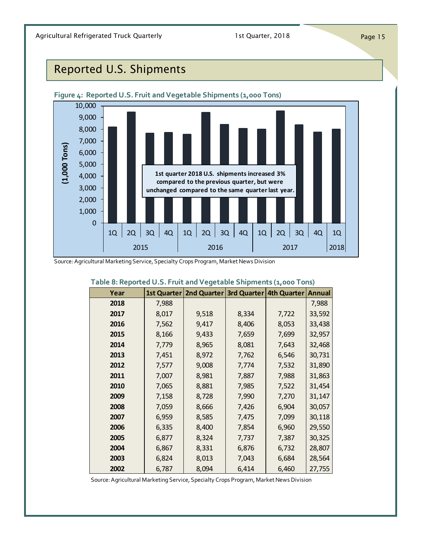## <span id="page-14-0"></span>Reported U.S. Shipments



Source: Agricultural Marketing Service, Specialty Crops Program, Market News Division

| Table 8: Reported U.S. Fruit and Vegetable Shipments (1,000 Tons)                     |       |                                                                |       |       |        |
|---------------------------------------------------------------------------------------|-------|----------------------------------------------------------------|-------|-------|--------|
| Year                                                                                  |       | 1st Quarter   2nd Quarter   3rd Quarter   4th Quarter   Annual |       |       |        |
| 2018                                                                                  | 7,988 |                                                                |       |       | 7,988  |
| 2017                                                                                  | 8,017 | 9,518                                                          | 8,334 | 7,722 | 33,592 |
| 2016                                                                                  | 7,562 | 9,417                                                          | 8,406 | 8,053 | 33,438 |
| 2015                                                                                  | 8,166 | 9,433                                                          | 7,659 | 7,699 | 32,957 |
| 2014                                                                                  | 7,779 | 8,965                                                          | 8,081 | 7,643 | 32,468 |
| 2013                                                                                  | 7,451 | 8,972                                                          | 7,762 | 6,546 | 30,731 |
| 2012                                                                                  | 7,577 | 9,008                                                          | 7,774 | 7,532 | 31,890 |
| 2011                                                                                  | 7,007 | 8,981                                                          | 7,887 | 7,988 | 31,863 |
| 2010                                                                                  | 7,065 | 8,881                                                          | 7,985 | 7,522 | 31,454 |
| 2009                                                                                  | 7,158 | 8,728                                                          | 7,990 | 7,270 | 31,147 |
| 2008                                                                                  | 7,059 | 8,666                                                          | 7,426 | 6,904 | 30,057 |
| 2007                                                                                  | 6,959 | 8,585                                                          | 7,475 | 7,099 | 30,118 |
| 2006                                                                                  | 6,335 | 8,400                                                          | 7,854 | 6,960 | 29,550 |
| 2005                                                                                  | 6,877 | 8,324                                                          | 7,737 | 7,387 | 30,325 |
| 2004                                                                                  | 6,867 | 8,331                                                          | 6,876 | 6,732 | 28,807 |
| 2003                                                                                  | 6,824 | 8,013                                                          | 7,043 | 6,684 | 28,564 |
| 2002                                                                                  | 6,787 | 8,094                                                          | 6,414 | 6,460 | 27,755 |
| Source: Agricultural Marketing Service, Specialty Crops Program, Market News Division |       |                                                                |       |       |        |

### **Table 8: Reported U.S. Fruit and Vegetable Shipments (1,000 Tons)**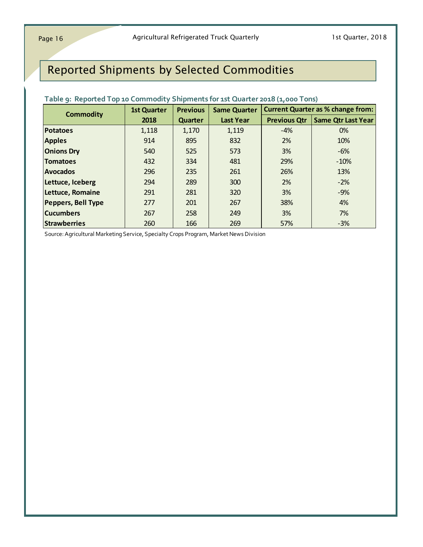## Reported Shipments by Selected Commodities

| <b>Commodity</b>                                                                      | <b>1st Quarter</b> | <b>Previous</b> | <b>Same Quarter</b> |                     | <b>Current Quarter as % change from:</b> |
|---------------------------------------------------------------------------------------|--------------------|-----------------|---------------------|---------------------|------------------------------------------|
|                                                                                       | 2018               | Quarter         | <b>Last Year</b>    | <b>Previous Qtr</b> | <b>Same Qtr Last Year</b>                |
| <b>Potatoes</b>                                                                       | 1,118              | 1,170           | 1,119               | $-4%$               | 0%                                       |
| <b>Apples</b>                                                                         | 914                | 895             | 832                 | 2%                  | 10%                                      |
| <b>Onions Dry</b>                                                                     | 540                | 525             | 573                 | 3%                  | $-6%$                                    |
| <b>Tomatoes</b>                                                                       | 432                | 334             | 481                 | 29%                 | $-10%$                                   |
| <b>Avocados</b>                                                                       | 296                | 235             | 261                 | 26%                 | 13%                                      |
| Lettuce, Iceberg                                                                      | 294                | 289             | 300                 | 2%                  | $-2\%$                                   |
| Lettuce, Romaine                                                                      | 291                | 281             | 320                 | 3%                  | $-9%$                                    |
| <b>Peppers, Bell Type</b>                                                             | 277                | 201             | 267                 | 38%                 | 4%                                       |
| <b>Cucumbers</b>                                                                      | 267                | 258             | 249                 | 3%                  | 7%                                       |
| <b>Strawberries</b>                                                                   | 260                | 166             | 269                 | 57%                 | $-3%$                                    |
| Source: Agricultural Marketing Service, Specialty Crops Program, Market News Division |                    |                 |                     |                     |                                          |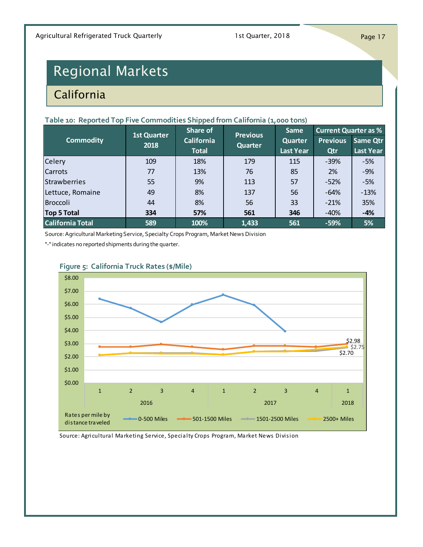# <span id="page-16-0"></span>Regional Markets

## **California**

### **Table 10: Reported Top Five Commodities Shipped from California (1,000 tons)**

|                                                                                       | Share of<br><b>Previous</b><br><b>1st Quarter</b> |                   | Same    |                  | <b>Current Quarter as %</b> |                  |  |  |
|---------------------------------------------------------------------------------------|---------------------------------------------------|-------------------|---------|------------------|-----------------------------|------------------|--|--|
| <b>Commodity</b>                                                                      | 2018                                              | <b>California</b> | Quarter | Quarter          | <b>Previous</b>             | <b>Same Qtr</b>  |  |  |
|                                                                                       |                                                   | <b>Total</b>      |         | <b>Last Year</b> | Qtr                         | <b>Last Year</b> |  |  |
| Celery                                                                                | 109                                               | 18%               | 179     | 115              | $-39%$                      | $-5%$            |  |  |
| <b>Carrots</b>                                                                        | 77                                                | 13%               | 76      | 85               | <b>2%</b>                   | $-9%$            |  |  |
| <b>Strawberries</b>                                                                   | 55                                                | 9%                | 113     | 57               | $-52%$                      | $-5%$            |  |  |
| Lettuce, Romaine                                                                      | 49                                                | 8%                | 137     | 56               | $-64%$                      | $-13%$           |  |  |
| Broccoli                                                                              | 44                                                | 8%                | 56      | 33               | $-21%$                      | 35%              |  |  |
| <b>Top 5 Total</b>                                                                    | 334                                               | 57%               | 561     | 346              | $-40%$                      | $-4%$            |  |  |
| <b>California Total</b>                                                               | 589                                               | 100%              | 1,433   | 561              | $-59%$                      | 5%               |  |  |
| Source: Agricultural Marketing Service, Specialty Crops Program, Market News Division |                                                   |                   |         |                  |                             |                  |  |  |

"-" indicates no reported shipments during the quarter.



### **Figure 5: California Truck Rates (\$/Mile)**

Source: Agricultural Marketing Service, Specialty Crops Program, Market News Division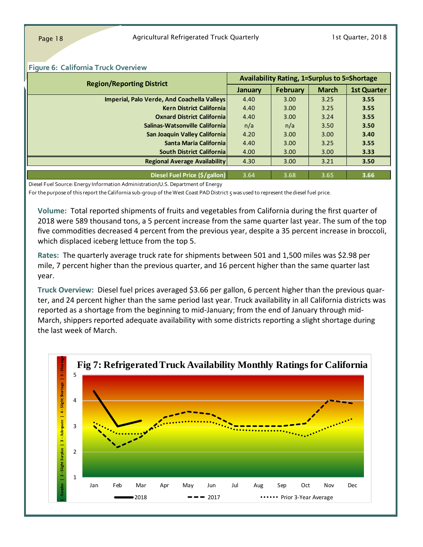| <b>Region/Reporting District</b>                                                | <b>Availability Rating, 1=Surplus to 5=Shortage</b> |                 |              |                    |  |
|---------------------------------------------------------------------------------|-----------------------------------------------------|-----------------|--------------|--------------------|--|
|                                                                                 | January                                             | <b>February</b> | <b>March</b> | <b>1st Quarter</b> |  |
| Imperial, Palo Verde, And Coachella Valleys                                     | 4.40                                                | 3.00            | 3.25         | 3.55               |  |
| <b>Kern District Californial</b>                                                | 4.40                                                | 3.00            | 3.25         | 3.55               |  |
| <b>Oxnard District Californial</b>                                              | 4.40                                                | 3.00            | 3.24         | 3.55               |  |
| Salinas-Watsonville California                                                  | n/a                                                 | n/a             | 3.50         | 3.50               |  |
| San Joaquin Valley California                                                   | 4.20                                                | 3.00            | 3.00         | 3.40               |  |
| Santa Maria California                                                          | 4.40                                                | 3.00            | 3.25         | 3.55               |  |
| <b>South District Californial</b>                                               | 4.00                                                | 3.00            | 3.00         | 3.33               |  |
| <b>Regional Average Availability</b>                                            | 4.30                                                | 3.00            | 3.21         | 3.50               |  |
|                                                                                 |                                                     |                 |              |                    |  |
| Diesel Fuel Price (\$/gallon)                                                   | 3.64                                                | 3.68            | 3.65         | 3.66               |  |
| Diesel Fuel Source: Energy Information Administration/U.S. Department of Energy |                                                     |                 |              |                    |  |

#### **Figure 6: California Truck Overview**

For the purpose of this report the California sub-group of the West Coast PAD District 5 was used to represent the diesel fuel price.

**Volume:** Total reported shipments of fruits and vegetables from California during the first quarter of 2018 were 589 thousand tons, a 5 percent increase from the same quarter last year. The sum of the top five commodities decreased 4 percent from the previous year, despite a 35 percent increase in broccoli, which displaced iceberg lettuce from the top 5.

**Rates:** The quarterly average truck rate for shipments between 501 and 1,500 miles was \$2.98 per mile, 7 percent higher than the previous quarter, and 16 percent higher than the same quarter last year.

**Truck Overview:** Diesel fuel prices averaged \$3.66 per gallon, 6 percent higher than the previous quarter, and 24 percent higher than the same period last year. Truck availability in all California districts was reported as a shortage from the beginning to mid-January; from the end of January through mid-March, shippers reported adequate availability with some districts reporting a slight shortage during the last week of March.

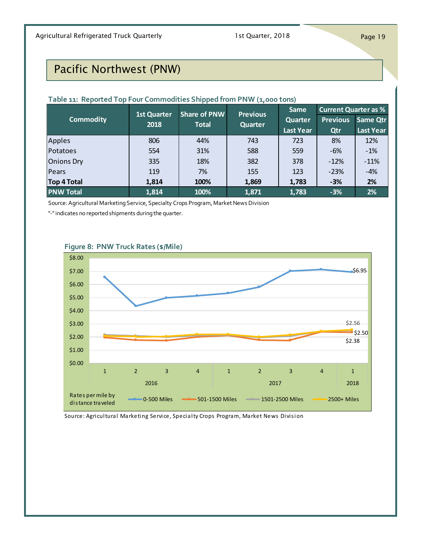## <span id="page-18-0"></span>Pacific Northwest (PNW)

### **Table 11: Reported Top Four Commodities Shipped from PNW (1,000 tons)**

|                                                                                       | 1st Quarter | <b>Share of PNW</b> | <b>Previous</b> | Same             | <b>Current Quarter as %</b> |                  |  |
|---------------------------------------------------------------------------------------|-------------|---------------------|-----------------|------------------|-----------------------------|------------------|--|
| <b>Commodity</b>                                                                      | 2018        | <b>Total</b>        | <b>Quarter</b>  | <b>Quarter</b>   | <b>Previous</b>             | Same Qtr         |  |
|                                                                                       |             |                     |                 | <b>Last Year</b> | Qtr                         | <b>Last Year</b> |  |
| Apples                                                                                | 806         | 44%                 | 743             | 723              | 8%                          | 12%              |  |
| Potatoes                                                                              | 554         | 31%                 | 588             | 559              | $-6%$                       | $-1%$            |  |
| <b>Onions Dry</b>                                                                     | 335         | 18%                 | 382             | 378              | $-12%$                      | $-11%$           |  |
| Pears                                                                                 | 119         | 7%                  | 155             | 123              | $-23%$                      | $-4%$            |  |
| <b>Top 4 Total</b>                                                                    | 1,814       | 100%                | 1,869           | 1,783            | $-3%$                       | 2%               |  |
| <b>PNW Total</b>                                                                      | 1,814       | 100%                | 1,871           | 1,783            | $-3%$                       | 2%               |  |
| Source: Agricultural Marketing Service, Specialty Crops Program, Market News Division |             |                     |                 |                  |                             |                  |  |

"-" indicates no reported shipments during the quarter.



### **Figure 8: PNW Truck Rates (\$/Mile)**

Source: Agricultural Marketing Service, Specialty Crops Program, Market News Division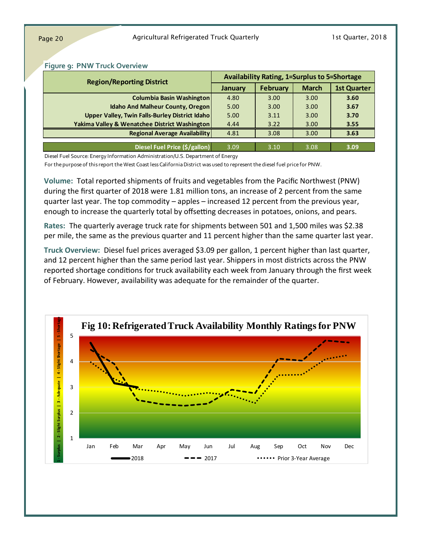| Figure 9: PNW Truck Overview                                                    |                                                     |                 |              |                    |  |
|---------------------------------------------------------------------------------|-----------------------------------------------------|-----------------|--------------|--------------------|--|
| <b>Region/Reporting District</b>                                                | <b>Availability Rating, 1=Surplus to 5=Shortage</b> |                 |              |                    |  |
|                                                                                 | <b>January</b>                                      | <b>February</b> | <b>March</b> | <b>1st Quarter</b> |  |
| <b>Columbia Basin Washington</b>                                                | 4.80                                                | 3.00            | 3.00         | 3.60               |  |
| <b>Idaho And Malheur County, Oregon</b>                                         | 5.00                                                | 3.00            | 3.00         | 3.67               |  |
| Upper Valley, Twin Falls-Burley District Idaho                                  | 5.00                                                | 3.11            | 3.00         | 3.70               |  |
| <b>Yakima Valley &amp; Wenatchee District Washington</b>                        | 4.44                                                | 3.22            | 3.00         | 3.55               |  |
| <b>Regional Average Availability</b>                                            | 4.81                                                | 3.08            | 3.00         | 3.63               |  |
|                                                                                 |                                                     |                 |              |                    |  |
| Diesel Fuel Price (\$/gallon)                                                   | 3.09                                                | 3.10            | 3.08         | 3.09               |  |
| Diesel Fuel Source: Energy Information Administration/U.S. Department of Energy |                                                     |                 |              |                    |  |

#### **Figure 9: PNW Truck Overview**

For the purpose of this report the West Coast less California District was used to represent the diesel fuel price for PNW.

**Volume:** Total reported shipments of fruits and vegetables from the Pacific Northwest (PNW) during the first quarter of 2018 were 1.81 million tons, an increase of 2 percent from the same quarter last year. The top commodity – apples – increased 12 percent from the previous year, enough to increase the quarterly total by offsetting decreases in potatoes, onions, and pears.

**Rates:** The quarterly average truck rate for shipments between 501 and 1,500 miles was \$2.38 per mile, the same as the previous quarter and 11 percent higher than the same quarter last year.

**Truck Overview:** Diesel fuel prices averaged \$3.09 per gallon, 1 percent higher than last quarter, and 12 percent higher than the same period last year. Shippers in most districts across the PNW reported shortage conditions for truck availability each week from January through the first week of February. However, availability was adequate for the remainder of the quarter.

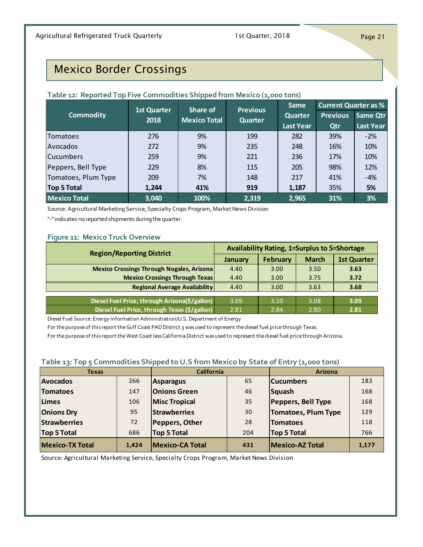## <span id="page-20-0"></span>Mexico Border Crossings

| Table 12: Reported Top Five Commodities Shipped from Mexico (1,000 tons)              |                    |                     |                 |                  |                             |                  |  |
|---------------------------------------------------------------------------------------|--------------------|---------------------|-----------------|------------------|-----------------------------|------------------|--|
|                                                                                       | <b>1st Quarter</b> | Share of            | <b>Previous</b> | <b>Same</b>      | <b>Current Quarter as %</b> |                  |  |
| <b>Commodity</b>                                                                      | 2018               | <b>Mexico Total</b> | Quarter         | Quarter          | <b>Previous</b>             | <b>Same Qtr</b>  |  |
|                                                                                       |                    |                     |                 | <b>Last Year</b> | Qtr                         | <b>Last Year</b> |  |
| <b>Tomatoes</b>                                                                       | 276                | 9%                  | 199             | 282              | 39%                         | $-2%$            |  |
| <b>Avocados</b>                                                                       | 272                | 9%                  | 235             | 248              | 16%                         | 10%              |  |
| <b>Cucumbers</b>                                                                      | 259                | 9%                  | 221             | 236              | 17%                         | 10%              |  |
| Peppers, Bell Type                                                                    | 229                | 8%                  | 115             | 205              | 98%                         | 12%              |  |
| Tomatoes, Plum Type                                                                   | 209                | 7%                  | 148             | 217              | 41%                         | $-4%$            |  |
| <b>Top 5 Total</b>                                                                    | 1,244              | 41%                 | 919             | 1,187            | 35%                         | 5%               |  |
| <b>Mexico Total</b>                                                                   | 3,040              | 100%                | 2,319           | 2,965            | 31%                         | 3%               |  |
| Source: Agricultural Marketing Service, Specialty Crops Program, Market News Division |                    |                     |                 |                  |                             |                  |  |

"-" indicates no reported shipments during the quarter.

### **Figure 11: Mexico Truck Overview**

| Figure 11: Mexico Truck Overview<br><b>Availability Rating, 1=Surplus to 5=Shortage</b><br><b>Region/Reporting District</b> |                |          |              |                    |  |  |  |
|-----------------------------------------------------------------------------------------------------------------------------|----------------|----------|--------------|--------------------|--|--|--|
|                                                                                                                             | <b>January</b> | February | <b>March</b> | <b>1st Quarter</b> |  |  |  |
| <b>Mexico Crossings Through Nogales, Arizona</b>                                                                            | 4.40           | 3.00     | 3.50         | 3.63               |  |  |  |
| <b>Mexico Crossings Through Texas</b>                                                                                       | 4.40           | 3.00     | 3.75         | 3.72               |  |  |  |
| <b>Regional Average Availability</b>                                                                                        | 4.40           | 3.00     | 3.63         | 3.68               |  |  |  |
|                                                                                                                             |                |          |              |                    |  |  |  |
| Diesel Fuel Price, through Arizona(\$/gallon)                                                                               | 3.09           | 3.10     | 3.08         | 3.09               |  |  |  |
| Diesel Fuel Price, through Texas (\$/gallon)                                                                                | 2.81           | 2.84     | 2.80         | 2.81               |  |  |  |
| Diesel Fuel Source: Energy Information Administration/U.S. Department of Energy                                             |                |          |              |                    |  |  |  |

For the purpose of this report the Gulf Coast PAD District 3 was used to represent the diesel fuel price through Texas.

For the purpose of this report the West Coast less California District was used to represent the diesel fuel price through Arizona.

### **Table 13: Top 5 Commodities Shipped to U.S from Mexico by State of Entry (1,000 tons)**

| Table 13: Top 5 Commodities Shipped to U.S from Mexico by State of Entry (1,000 tons) |       |                        |     |                            |       |  |
|---------------------------------------------------------------------------------------|-------|------------------------|-----|----------------------------|-------|--|
| <b>Texas</b>                                                                          |       | <b>California</b>      |     | <b>Arizona</b>             |       |  |
| <b>Avocados</b>                                                                       | 266   | <b>Asparagus</b>       | 65  | <b>Cucumbers</b>           | 183   |  |
| <b>Tomatoes</b>                                                                       | 147   | <b>Onions Green</b>    | 46  | Squash                     | 168   |  |
| <b>Limes</b>                                                                          | 106   | <b>Misc Tropical</b>   | 35  | <b>Peppers, Bell Type</b>  | 168   |  |
| <b>Onions Dry</b>                                                                     | 95    | <b>Strawberries</b>    | 30  | <b>Tomatoes, Plum Type</b> | 129   |  |
| <b>Strawberries</b>                                                                   | 72    | Peppers, Other         | 28  | <b>Tomatoes</b>            | 118   |  |
| <b>Top 5 Total</b>                                                                    | 686   | <b>Top 5 Total</b>     | 204 | <b>Top 5 Total</b>         | 766   |  |
| <b>Mexico-TX Total</b>                                                                | 1,424 | <b>Mexico-CA Total</b> | 431 | <b>Mexico-AZ Total</b>     | 1,177 |  |

Source: Agricultural Marketing Service, Specialty Crops Program, Market News Division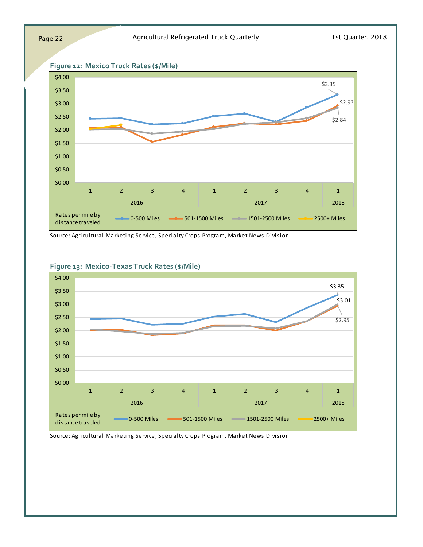



Source: Agricultural Marketing Service, Specialty Crops Program, Market News Division



### **Figure 13: Mexico-Texas Truck Rates (\$/Mile)**

Source: Agricultural Marketing Service, Specialty Crops Program, Market News Division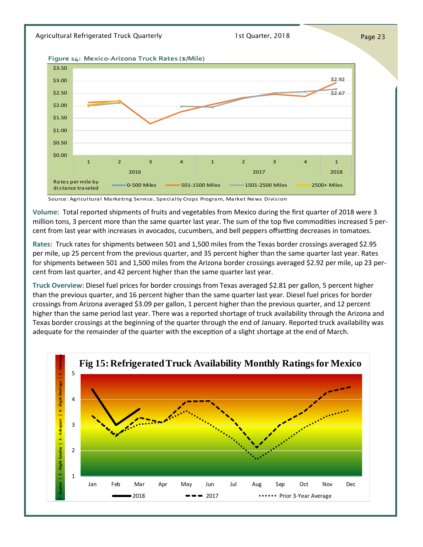### Agricultural Refrigerated Truck Quarterly **1st Quarter, 2018** Page 23

**Figure 14: Mexico-Arizona Truck Rates (\$/Mile)**



Source: Agricultural Marketing Service, Specialty Crops Program, Market News Division

**Volume:** Total reported shipments of fruits and vegetables from Mexico during the first quarter of 2018 were 3 million tons, 3 percent more than the same quarter last year. The sum of the top five commodities increased 5 percent from last year with increases in avocados, cucumbers, and bell peppers offsetting decreases in tomatoes.

**Rates:** Truck rates for shipments between 501 and 1,500 miles from the Texas border crossings averaged \$2.95 per mile, up 25 percent from the previous quarter, and 35 percent higher than the same quarter last year. Rates for shipments between 501 and 1,500 miles from the Arizona border crossings averaged \$2.92 per mile, up 23 percent from last quarter, and 42 percent higher than the same quarter last year.

**Truck Overview:** Diesel fuel prices for border crossings from Texas averaged \$2.81 per gallon, 5 percent higher than the previous quarter, and 16 percent higher than the same quarter last year. Diesel fuel prices for border crossings from Arizona averaged \$3.09 per gallon, 1 percent higher than the previous quarter, and 12 percent higher than the same period last year. There was a reported shortage of truck availability through the Arizona and Texas border crossings at the beginning of the quarter through the end of January. Reported truck availability was adequate for the remainder of the quarter with the exception of a slight shortage at the end of March.

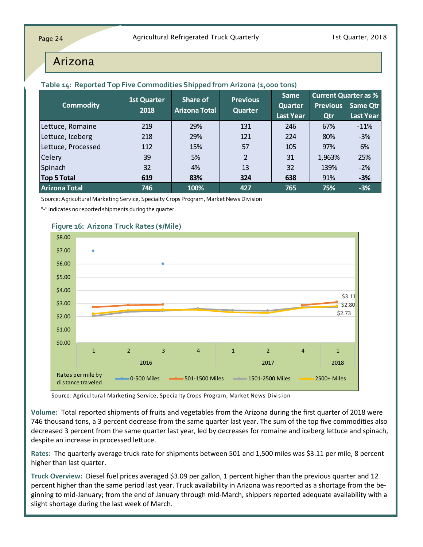### <span id="page-23-0"></span>Arizona

|                      |      | <b>Previous</b><br><b>1st Quarter</b><br>Share of                                     |                | <b>Current Quarter as %</b><br>Same |                 |                  |  |  |  |
|----------------------|------|---------------------------------------------------------------------------------------|----------------|-------------------------------------|-----------------|------------------|--|--|--|
| <b>Commodity</b>     | 2018 | <b>Arizona Total</b>                                                                  | <b>Quarter</b> | <b>Quarter</b>                      | <b>Previous</b> | Same Qtr         |  |  |  |
|                      |      |                                                                                       |                | <b>Last Year</b>                    | Qtr             | <b>Last Year</b> |  |  |  |
| Lettuce, Romaine     | 219  | 29%                                                                                   | 131            | 246                                 | 67%             | $-11%$           |  |  |  |
| Lettuce, Iceberg     | 218  | 29%                                                                                   | 121            | 224                                 | 80%             | $-3%$            |  |  |  |
| Lettuce, Processed   | 112  | 15%                                                                                   | 57             | 105                                 | 97%             | 6%               |  |  |  |
| <b>Celery</b>        | 39   | 5%                                                                                    | 2              | 31                                  | 1,963%          | 25%              |  |  |  |
| Spinach              | 32   | 4%                                                                                    | 13             | 32                                  | 139%            | $-2%$            |  |  |  |
| Top 5 Total          | 619  | 83%                                                                                   | 324            | 638                                 | 91%             | $-3%$            |  |  |  |
| <b>Arizona Total</b> | 746  | 100%                                                                                  | 427            | 765                                 | 75%             | $-3%$            |  |  |  |
|                      |      | Source: Agricultural Marketing Service, Specialty Crops Program, Market News Division |                |                                     |                 |                  |  |  |  |

### **Table 14: Reported Top Five Commodities Shipped from Arizona (1,000 tons)**

"-" indicates no reported shipments during the quarter.



### **Figure 16: Arizona Truck Rates (\$/Mile)**

Source: Agricultural Marketing Service, Specialty Crops Program, Market News Division

**Volume:** Total reported shipments of fruits and vegetables from the Arizona during the first quarter of 2018 were 746 thousand tons, a 3 percent decrease from the same quarter last year. The sum of the top five commodities also decreased 3 percent from the same quarter last year, led by decreases for romaine and iceberg lettuce and spinach, despite an increase in processed lettuce.

**Rates:** The quarterly average truck rate for shipments between 501 and 1,500 miles was \$3.11 per mile, 8 percent higher than last quarter.

**Truck Overview:** Diesel fuel prices averaged \$3.09 per gallon, 1 percent higher than the previous quarter and 12 percent higher than the same period last year. Truck availability in Arizona was reported as a shortage from the beginning to mid-January; from the end of January through mid-March, shippers reported adequate availability with a slight shortage during the last week of March.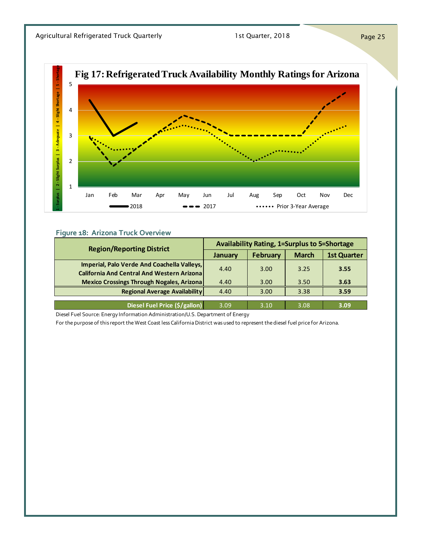

### **Figure 18: Arizona Truck Overview**

| <b>Region/Reporting District</b>                                                | <b>Availability Rating, 1=Surplus to 5=Shortage</b> |                 |              |                    |  |  |  |  |
|---------------------------------------------------------------------------------|-----------------------------------------------------|-----------------|--------------|--------------------|--|--|--|--|
|                                                                                 | January                                             | <b>February</b> | <b>March</b> | <b>1st Quarter</b> |  |  |  |  |
| Imperial, Palo Verde And Coachella Valleys,                                     | 4.40                                                | 3.00            | 3.25         | 3.55               |  |  |  |  |
| <b>California And Central And Western Arizona</b>                               |                                                     |                 |              |                    |  |  |  |  |
| <b>Mexico Crossings Through Nogales, Arizona</b>                                | 4.40                                                | 3.00            | 3.50         | 3.63               |  |  |  |  |
| <b>Regional Average Availability</b>                                            | 4.40                                                | 3.00            | 3.38         | 3.59               |  |  |  |  |
|                                                                                 |                                                     |                 |              |                    |  |  |  |  |
| Diesel Fuel Price (\$/gallon)                                                   | 3.09                                                | 3.10            | 3.08         | 3.09               |  |  |  |  |
| Diesel Fuel Source: Energy Information Administration/U.S. Department of Energy |                                                     |                 |              |                    |  |  |  |  |

For the purpose of this report the West Coast less California District was used to represent the diesel fuel price for Arizona.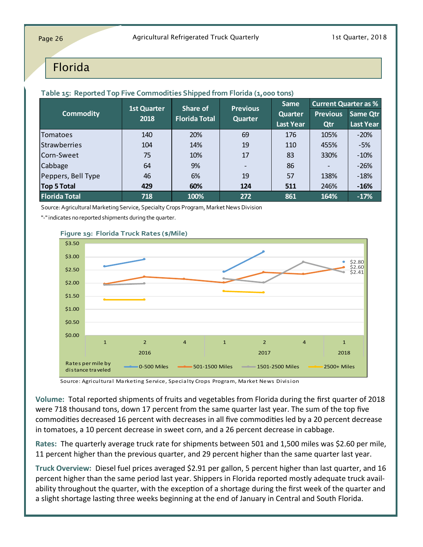### <span id="page-25-0"></span>Florida

|                                                                                       | <b>Previous</b><br><b>1st Quarter</b><br>Share of | Same                 | <b>Current Quarter as %</b> |                  |                 |                  |
|---------------------------------------------------------------------------------------|---------------------------------------------------|----------------------|-----------------------------|------------------|-----------------|------------------|
| <b>Commodity</b>                                                                      | 2018                                              | <b>Florida Total</b> | <b>Quarter</b>              | <b>Quarter</b>   | <b>Previous</b> | Same Qtr         |
|                                                                                       |                                                   |                      |                             | <b>Last Year</b> | Qtr             | <b>Last Year</b> |
| Tomatoes                                                                              | 140                                               | 20%                  | 69                          | 176              | 105%            | $-20%$           |
| <b>Strawberries</b>                                                                   | 104                                               | 14%                  | 19                          | 110              | 455%            | $-5%$            |
| Corn-Sweet                                                                            | 75                                                | 10%                  | 17                          | 83               | 330%            | $-10%$           |
| Cabbage                                                                               | 64                                                | 9%                   |                             | 86               |                 | $-26%$           |
| Peppers, Bell Type                                                                    | 46                                                | 6%                   | 19                          | 57               | 138%            | $-18%$           |
| Top 5 Total                                                                           | 429                                               | 60%                  | 124                         | 511              | 246%            | $-16%$           |
| <b>Florida Total</b>                                                                  | 718                                               | 100%                 | 272                         | 861              | 164%            | $-17%$           |
| Source: Agricultural Marketing Service, Specialty Crops Program, Market News Division |                                                   |                      |                             |                  |                 |                  |

**Table 15: Reported Top Five Commodities Shipped from Florida (1,000 tons)**

"-" indicates no reported shipments during the quarter.



Source: Agricultural Marketing Service, Specialty Crops Program, Market News Division

**Volume:** Total reported shipments of fruits and vegetables from Florida during the first quarter of 2018 were 718 thousand tons, down 17 percent from the same quarter last year. The sum of the top five commodities decreased 16 percent with decreases in all five commodities led by a 20 percent decrease in tomatoes, a 10 percent decrease in sweet corn, and a 26 percent decrease in cabbage.

**Rates:** The quarterly average truck rate for shipments between 501 and 1,500 miles was \$2.60 per mile, 11 percent higher than the previous quarter, and 29 percent higher than the same quarter last year.

**Truck Overview:** Diesel fuel prices averaged \$2.91 per gallon, 5 percent higher than last quarter, and 16 percent higher than the same period last year. Shippers in Florida reported mostly adequate truck availability throughout the quarter, with the exception of a shortage during the first week of the quarter and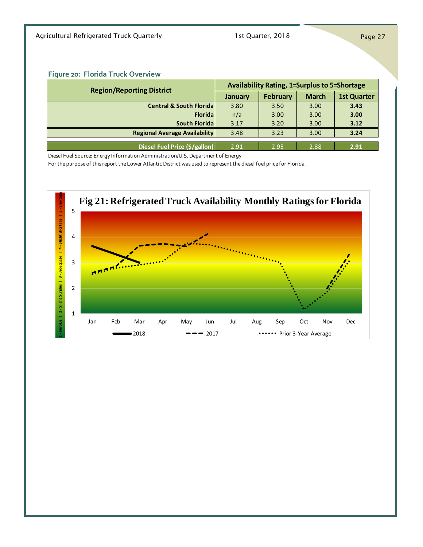Agricultural Refrigerated Truck Quarterly 1st Quarter, 2018 Page 27

### **Figure 20: Florida Truck Overview**

| Figure 20: Florida Truck Overview<br><b>Availability Rating, 1=Surplus to 5=Shortage</b><br><b>Region/Reporting District</b> |                |                 |              |                    |  |  |  |  |
|------------------------------------------------------------------------------------------------------------------------------|----------------|-----------------|--------------|--------------------|--|--|--|--|
|                                                                                                                              | <b>January</b> | <b>February</b> | <b>March</b> | <b>1st Quarter</b> |  |  |  |  |
| <b>Central &amp; South Florida</b>                                                                                           | 3.80           | 3.50            | 3.00         | 3.43               |  |  |  |  |
| <b>Florida</b>                                                                                                               | n/a            | 3.00            | 3.00         | 3.00               |  |  |  |  |
| South Floridal                                                                                                               | 3.17           | 3.20            | 3.00         | 3.12               |  |  |  |  |
| <b>Regional Average Availability</b>                                                                                         | 3.48           | 3.23            | 3.00         | 3.24               |  |  |  |  |
|                                                                                                                              |                |                 |              |                    |  |  |  |  |
| Diesel Fuel Price (\$/gallon)                                                                                                | 2.91           | 2.95            | 2.88         | 2.91               |  |  |  |  |
| Diesel Fuel Source: Energy Information Administration/U.S. Department of Energy                                              |                |                 |              |                    |  |  |  |  |

For the purpose of this report the Lower Atlantic District was used to represent the diesel fuel price for Florida.

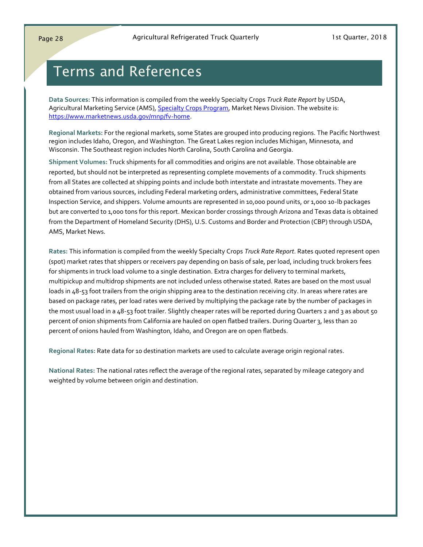# <span id="page-27-0"></span>Terms and References

**Data Sources:** This information is compiled from the weekly Specialty Crops *Truck Rate Report* by USDA, Agricultural Marketing Service (AMS), [Specialty Crops Program,](https://www.ams.usda.gov/about-ams/programs-offices/specialty-crops-program) Market News Division. The website is: [https://www.marketnews.usda.gov/mnp/fv](https://www.marketnews.usda.gov/mnp/fv-home)-home.

**Regional Markets:** For the regional markets, some States are grouped into producing regions. The Pacific Northwest region includes Idaho, Oregon, and Washington. The Great Lakes region includes Michigan, Minnesota, and Wisconsin. The Southeast region includes North Carolina, South Carolina and Georgia.

**Shipment Volumes:** Truck shipments for all commodities and origins are not available. Those obtainable are reported, but should not be interpreted as representing complete movements of a commodity. Truck shipments from all States are collected at shipping points and include both interstate and intrastate movements. They are obtained from various sources, including Federal marketing orders, administrative committees, Federal State Inspection Service, and shippers. Volume amounts are represented in 10,000 pound units, or 1,000 10-lb packages but are converted to 1,000 tons for this report. Mexican border crossings through Arizona and Texas data is obtained from the Department of Homeland Security (DHS), U.S. Customs and Border and Protection (CBP) through USDA, AMS, Market News.

**Rates:** This information is compiled from the weekly Specialty Crops *Truck Rate Report*. Rates quoted represent open (spot) market rates that shippers or receivers pay depending on basis of sale, per load, including truck brokers fees for shipments in truck load volume to a single destination. Extra charges for delivery to terminal markets, multipickup and multidrop shipments are not included unless otherwise stated. Rates are based on the most usual loads in 48-53 foot trailers from the origin shipping area to the destination receiving city. In areas where rates are based on package rates, per load rates were derived by multiplying the package rate by the number of packages in the most usual load in a 48-53 foot trailer. Slightly cheaper rates will be reported during Quarters 2 and 3 as about 50 percent of onion shipments from California are hauled on open flatbed trailers. During Quarter 3, less than 20 percent of onions hauled from Washington, Idaho, and Oregon are on open flatbeds.

**Regional Rates:** Rate data for 10 destination markets are used to calculate average origin regional rates.

**National Rates:** The national rates reflect the average of the regional rates, separated by mileage category and weighted by volume between origin and destination.